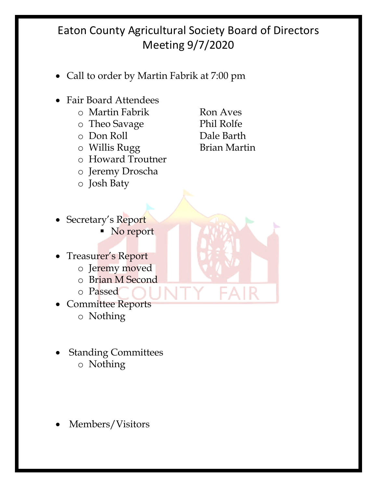- Call to order by Martin Fabrik at 7:00 pm
- Fair Board Attendees
	- o Martin Fabrik Ron Aves
	- o Theo Savage Phil Rolfe
	-
	- $\circ$  Willis Rugg
	- o Howard Troutner
	- o Jeremy Droscha
	- o Josh Baty

o Don Roll Dale Barth

- Secretary's Report
	- No report
- Treasurer's Report
	- o Jeremy moved
	- o Brian M Second
	- o Passed
- Committee Reports o Nothing
- Standing Committees o Nothing
- Members/Visitors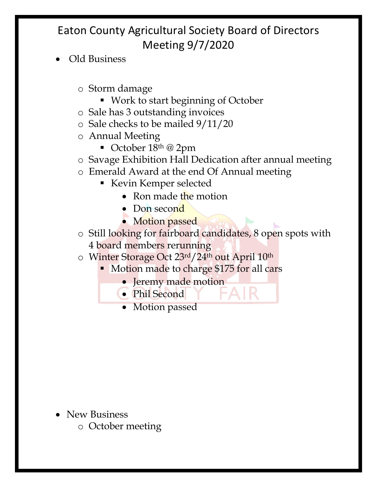- Old Business
	- o Storm damage
		- Work to start beginning of October
	- o Sale has 3 outstanding invoices
	- o Sale checks to be mailed 9/11/20
	- o Annual Meeting
		- October 18th @ 2pm
	- o Savage Exhibition Hall Dedication after annual meeting
	- o Emerald Award at the end Of Annual meeting
		- Kevin Kemper selected
			- Ron made the motion
			- Don second
			- Motion passed
	- o Still looking for fairboard candidates, 8 open spots with 4 board members rerunning
	- o Winter Storage Oct 23rd/24th out April 10th
		- § Motion made to charge \$175 for all cars
			- Jeremy made motion
			- Phil Second
			- Motion passed

- New Business
	- o October meeting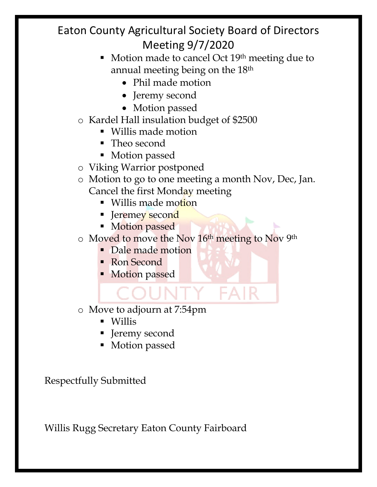- Motion made to cancel Oct 19<sup>th</sup> meeting due to annual meeting being on the 18th
	- Phil made motion
	- Jeremy second
	- Motion passed
- o Kardel Hall insulation budget of \$2500
	- § Willis made motion
	- Theo second
	- Motion passed
- o Viking Warrior postponed
- o Motion to go to one meeting a month Nov, Dec, Jan. Cancel the first Monday meeting
	- Willis made motion
	- Jeremey second
	- Motion passed
- o Moved to move the Nov 16th meeting to Nov 9th

EAI

- Dale made motion
- Ron Second
- **Motion passed**

o Move to adjourn at 7:54pm

- § Willis
- Jeremy second
- Motion passed

Respectfully Submitted

Willis Rugg Secretary Eaton County Fairboard